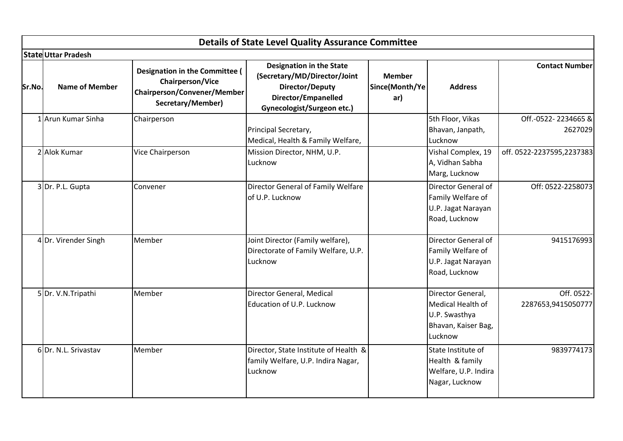|        |                            |                                                                                                                      | <b>Details of State Level Quality Assurance Committee</b>                                                                                      |                                        |                                                                                           |                                  |
|--------|----------------------------|----------------------------------------------------------------------------------------------------------------------|------------------------------------------------------------------------------------------------------------------------------------------------|----------------------------------------|-------------------------------------------------------------------------------------------|----------------------------------|
|        | <b>State Uttar Pradesh</b> |                                                                                                                      |                                                                                                                                                |                                        |                                                                                           |                                  |
| Sr.No. | <b>Name of Member</b>      | <b>Designation in the Committee (</b><br>Chairperson/Vice<br><b>Chairperson/Convener/Member</b><br>Secretary/Member) | <b>Designation in the State</b><br>(Secretary/MD/Director/Joint<br>Director/Deputy<br>Director/Empanelled<br><b>Gynecologist/Surgeon etc.)</b> | <b>Member</b><br>Since(Month/Ye<br>ar) | <b>Address</b>                                                                            | <b>Contact Number</b>            |
|        | 1 Arun Kumar Sinha         | Chairperson                                                                                                          | Principal Secretary,<br>Medical, Health & Family Welfare,                                                                                      |                                        | 5th Floor, Vikas<br>Bhavan, Janpath,<br>Lucknow                                           | Off.-0522-2234665&<br>2627029    |
|        | 2 Alok Kumar               | Vice Chairperson                                                                                                     | Mission Director, NHM, U.P.<br>Lucknow                                                                                                         |                                        | Vishal Complex, 19<br>A, Vidhan Sabha<br>Marg, Lucknow                                    | off. 0522-2237595,2237383        |
|        | 3 Dr. P.L. Gupta           | Convener                                                                                                             | Director General of Family Welfare<br>of U.P. Lucknow                                                                                          |                                        | Director General of<br>Family Welfare of<br>U.P. Jagat Narayan<br>Road, Lucknow           | Off: 0522-2258073                |
|        | 4 Dr. Virender Singh       | Member                                                                                                               | Joint Director (Family welfare),<br>Directorate of Family Welfare, U.P.<br>Lucknow                                                             |                                        | Director General of<br>Family Welfare of<br>U.P. Jagat Narayan<br>Road, Lucknow           | 9415176993                       |
|        | 5 Dr. V.N. Tripathi        | Member                                                                                                               | Director General, Medical<br>Education of U.P. Lucknow                                                                                         |                                        | Director General,<br>Medical Health of<br>U.P. Swasthya<br>Bhavan, Kaiser Bag,<br>Lucknow | Off. 0522-<br>2287653,9415050777 |
|        | 6Dr. N.L. Srivastav        | Member                                                                                                               | Director, State Institute of Health &<br>family Welfare, U.P. Indira Nagar,<br>Lucknow                                                         |                                        | State Institute of<br>Health & family<br>Welfare, U.P. Indira<br>Nagar, Lucknow           | 9839774173                       |